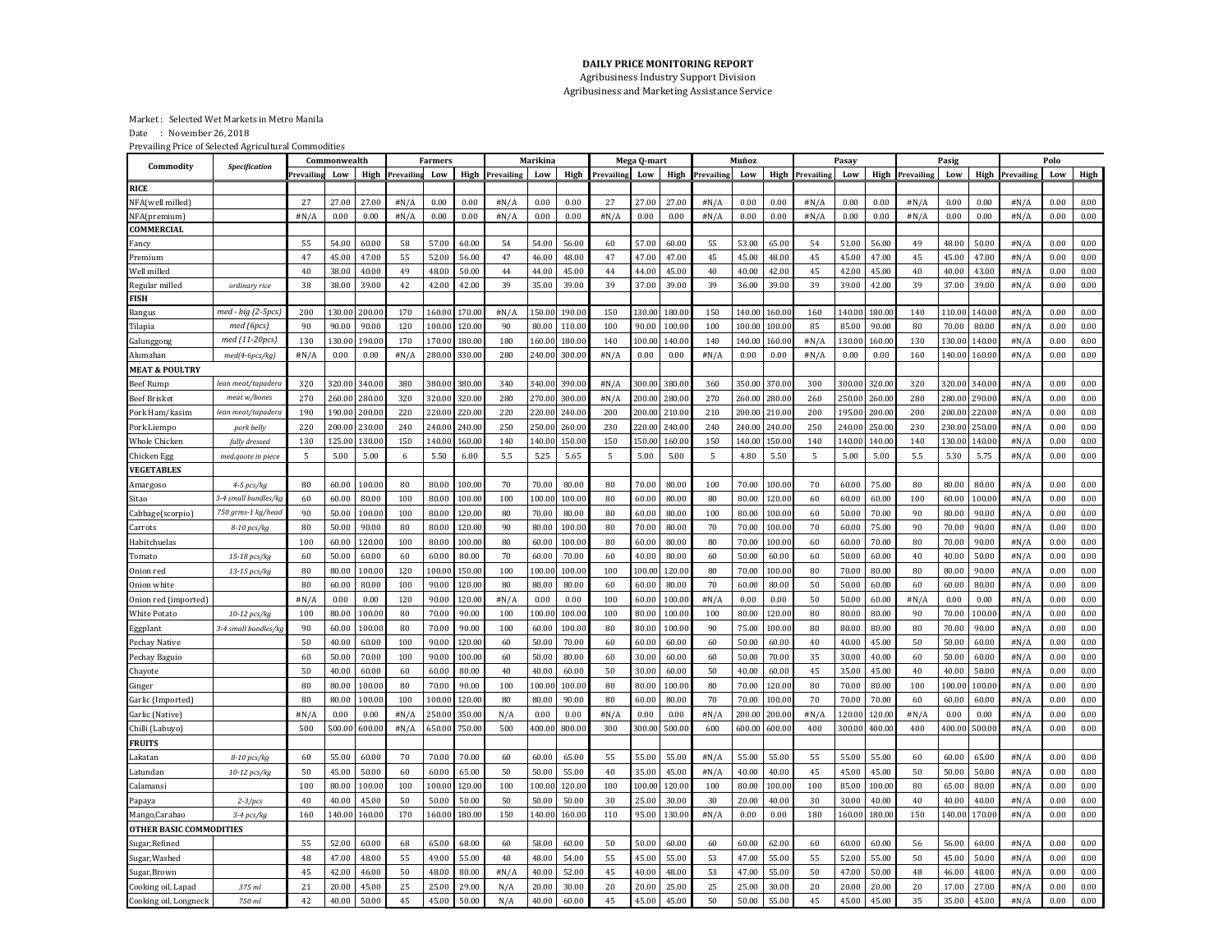## **DAILY PRICE MONITORING REPORT**

Agribusiness Industry Support Division Agribusiness and Marketing Assistance Service

Market : Selected Wet Markets in Metro Manila

Date : November 26, 2018

Prevailing Price of Selected Agricultural Commodities

| Commodity                      | Specification        | Commonwealth |        |                | <b>Farmers</b>         |        |                | Marikina               |        |                | Mega Q-mart            |        |                | Muñoz                  |        |        | Pasay                  |                |        |            | Pasig          |        |                        | Polo |      |  |
|--------------------------------|----------------------|--------------|--------|----------------|------------------------|--------|----------------|------------------------|--------|----------------|------------------------|--------|----------------|------------------------|--------|--------|------------------------|----------------|--------|------------|----------------|--------|------------------------|------|------|--|
|                                |                      | Prevailing   | Low    |                | <b>High</b> Prevailing | Low    |                | <b>High</b> Prevailing | Low    |                | <b>High</b> Prevailing | Low    |                | <b>High</b> Prevailing | Low    |        | <b>High</b> Prevailing | Low            | High   | Prevailing | Low            |        | <b>High</b> Prevailing | Low  | High |  |
| <b>RICE</b>                    |                      |              |        |                |                        |        |                |                        |        |                |                        |        |                |                        |        |        |                        |                |        |            |                |        |                        |      |      |  |
| <b>NFA(well milled)</b>        |                      | 27           | 27.00  | 27.0           | #N/A                   | 0.00   | 0.00           | #N/A                   | 0.00   | 0.00           | 27                     | 27.00  | 27.00          | #N/A                   | 0.00   | 0.00   | #N/A                   | 0.00           | 0.00   | #N/A       | 0.00           | 0.00   | #N/A                   | 0.00 | 0.00 |  |
| NFA(premium)                   |                      | #N/A         | 0.00   | 0.00           | #N/A                   | 0.00   | 0.00           | #N/A                   | 0.00   | 0.00           | #N/A                   | 0.00   | 0.00           | #N/A                   | 0.00   | 0.00   | #N/A                   | 0.00           | 0.00   | #N/A       | 0.00           | 0.00   | #N/A                   | 0.00 | 0.00 |  |
| COMMERCIAL                     |                      |              |        |                |                        |        |                |                        |        |                |                        |        |                |                        |        |        |                        |                |        |            |                |        |                        |      |      |  |
| Fancy                          |                      | 55           | 54.00  | 60.00          | 58                     | 57.00  | 60.00          | 54                     | 54.00  | 56.00          | 60                     | 57.00  | 60.00          | 55                     | 53.00  | 65.00  | 54                     | 51.00          | 56.00  | 49         | 48.00          | 50.00  | #N/A                   | 0.00 | 0.00 |  |
| Premium                        |                      | 47           | 45.00  | 47.00          | 55                     | 52.00  | 56.00          | 47                     | 46.00  | 48.00          | 47                     | 47.00  | 47.00          | 45                     | 45.00  | 48.00  | 45                     | 45.00          | 47.00  | 45         | 45.00          | 47.00  | #N/A                   | 0.00 | 0.00 |  |
| Well milled                    |                      | 40           | 38.00  | 40.00          | 49                     | 48.00  | 50.00          | $\bf 44$               | 44.00  | 45.00          | 44                     | 44.00  | 45.00          | 40                     | 40.00  | 42.00  | 45                     | 42.00          | 45.00  | 40         | 40.00          | 43.00  | #N/A                   | 0.00 | 0.00 |  |
| Regular milled                 | ordinary rice        | 38           | 38.00  | 39.00          | 42                     | 42.00  | 42.00          | 39                     | 35.00  | 39.00          | 39                     | 37.00  | 39.00          | 39                     | 36.00  | 39.00  | 39                     | 39.00          | 42.00  | 39         | 37.00          | 39.00  | #N/A                   | 0.00 | 0.00 |  |
| <b>FISH</b>                    |                      |              |        |                |                        |        |                |                        |        |                |                        |        |                |                        |        |        |                        |                |        |            |                |        |                        |      |      |  |
| Bangus                         | med - big (2-5pcs)   | 200          | 130.0  | 200.0          | 170                    | 160.00 | 170.0          | #N/A                   | 150.0  | 190.00         | 150                    | 130.0  | 180.00         | 150                    | 140.00 | 160.0  | 160                    | 140.0          | 180.0  | 140        | 110.00         | 140.0  | #N/A                   | 0.00 | 0.00 |  |
| Tilapia                        | med (6pcs)           | 90           | 90.00  | 90.00          | 120                    | 100.00 | 120.00         | 90                     | 80.00  | 110.00         | 100                    | 90.00  | 100.00         | 100                    | 100.00 | 100.00 | 85                     | 85.00          | 90.00  | 80         | 70.00          | 80.00  | #N/A                   | 0.00 | 0.00 |  |
| Galunggong                     | med (11-20pcs)       | 130          | 130.00 | 190.0          | 170                    | 170.00 | 180.0          | 180                    | 160.0  | 180.00         | 140                    | 100.0  | 140.00         | 140                    | 140.00 | 160.00 | #N/A                   | 130.00         | 160.0  | 130        | 130.00         | 140.0  | #N/A                   | 0.00 | 0.00 |  |
| Alumahan                       | $med(4-6pcs/kg)$     | #N/A         | 0.00   | 0.00           | #N/A                   | 280.00 | 330.0          | 280                    | 240.0  | 300.00         | #N/A                   | 0.00   | 0.00           | #N/A                   | 0.00   | 0.00   | #N/A                   | 0.00           | 0.00   | 160        | 140.00         | 160.0  | #N/A                   | 0.00 | 0.00 |  |
| <b>MEAT &amp; POULTRY</b>      |                      |              |        |                |                        |        |                |                        |        |                |                        |        |                |                        |        |        |                        |                |        |            |                |        |                        |      |      |  |
| Beef Rump                      | lean meat/tapadera   | 320          | 320.00 | 340.0          | 380                    | 380.00 | 380.0          | 340                    | 340.0  | 390.00         | #N/A                   | 300.0  | 380.00         | 360                    | 350.00 | 370.0  | 300                    | 300.00         | 320.0  | 320        | 320.00         | 340.0  | #N/A                   | 0.00 | 0.00 |  |
| <b>Beef Brisket</b>            | meat w/bones         | 270          | 260.00 | 280.0          | 320                    | 320.00 | 320.0          | 280                    | 270.0  | 300.00         | #N/A                   | 200.0  | 280.00         | 270                    | 260.00 | 280.00 | 260                    | 250.00         | 260.0  | 280        | 280.00         | 290.0  | #N/A                   | 0.00 | 0.00 |  |
| Pork Ham/kasim                 | lean meat/tapadera   | 190          | 190.00 | 200.0          | 220                    | 220.00 | 220.0          | 220                    | 220.00 | 240.00         | 200                    | 200.00 | 210.00         | 210                    | 200.00 | 210.00 | 200                    | 195.00         | 200.00 | 200        | 200.00         | 220.00 | #N/A                   | 0.00 | 0.00 |  |
| Pork Liempo                    | pork belly           | 220          | 200.00 | 230.0          | 240                    | 240.00 | 240.0          | 250                    | 250.0  | 260.00         | 230                    | 220.0  | 240.00         | 240                    | 240.00 | 240.00 | 250                    | 240.00         | 250.0  | 230        | 230.00         | 250.0  | #N/A                   | 0.00 | 0.00 |  |
| Whole Chicken                  | fully dressed        | 130          | 125.00 | 130.0          | 150                    | 140.00 | 160.0          | 140                    | 140.0  | 150.00         | 150                    | 150.0  | 160.0          | 150                    | 140.00 | 150.00 | 140                    | L40.00         | 140.00 | 140        | 130.00         | 140.0  | #N/A                   | 0.00 | 0.00 |  |
| Chicken Egg                    | med.quote in piece   | 5            | 5.00   | 5.00           | 6                      | 5.50   | 6.00           | 5.5                    | 5.25   | 5.65           | 5                      | 5.00   | 5.00           | .5                     | 4.80   | 5.50   | 5                      | 5.00           | 5.00   | 5.5        | 5.30           | 5.75   | #N/A                   | 0.00 | 0.00 |  |
| <b>VEGETABLES</b>              |                      |              |        |                |                        |        |                |                        |        |                |                        |        |                |                        |        |        |                        |                |        |            |                |        |                        |      |      |  |
| Amargoso                       | $4-5$ pcs/kg         | 80           | 60.00  | 100.0          | 80                     | 80.00  | 100.0          | 70                     | 70.00  | 80.00          | 80                     | 70.00  | 80.00          | 100                    | 70.00  | 100.0  | 70                     | 60.00          | 75.00  | 80         | 80.00          | 80.00  | #N/A                   | 0.00 | 0.00 |  |
| <b>Sitao</b>                   | 3-4 small bundles/kg | 60           | 60.00  | 80.00          | 100                    | 80.00  | 100.0          | 100                    | 100.0  | 100.00         | 80                     | 60.00  | 80.00          | 80                     | 80.00  | 120.00 | 60                     | 60.00          | 60.00  | 100        | 60.00          | 100.0  | #N/A                   | 0.00 | 0.00 |  |
| Cabbage(scorpio)               | 750 grms-1 kg/head   | 90           | 50.00  | 100.0          | 100                    | 80.00  | 120.00         | 80                     | 70.00  | 80.00          | 80                     | 60.00  | 80.00          | 100                    | 80.00  | 100.00 | 60                     | 50.00          | 70.00  | 90         | 80.00          | 90.00  | #N/A                   | 0.00 | 0.00 |  |
| Carrots                        | 8-10 pcs/kg          | 80           | 50.00  | 90.00          | 80                     | 80.00  | 120.00         | 90                     | 80.00  | 100.00         | 80                     | 70.00  | 80.00          | 70                     | 70.00  | 100.00 | 70                     | 60.00          | 75.00  | 90         | 70.00          | 90.00  | #N/A                   | 0.00 | 0.00 |  |
| Habitchuelas                   |                      | 100          | 60.00  | 120.0          | 100                    | 80.00  | 100.00         | 80                     | 60.00  | 100.00         | 80                     | 60.00  | 80.00          | 80                     | 70.00  | 100.00 | 60                     | 60.00          | 70.00  | 80         | 70.00          | 90.00  | #N/A                   | 0.00 | 0.00 |  |
| Tomato                         | 15-18 pcs/kg         | 60           | 50.00  | 60.00          | 60                     | 60.00  | 80.00          | 70                     | 60.00  | 70.00          | 60                     | 40.00  | 80.00          | 60                     | 50.00  | 60.00  | 60                     | 50.00          | 60.00  | 40         | 40.00          | 50.00  | #N/A                   | 0.00 | 0.00 |  |
| Onion red                      | 13-15 pcs/kg         | 80           | 80.00  | 100.0          | 120                    | 100.00 | 150.0          | 100                    | 100.0  | 100.00         | 100                    | 100.0  | 120.00         | 80                     | 70.00  | 100.0  | 80                     | 70.00          | 80.00  | 80         | 80.00          | 90.00  | #N/A                   | 0.00 | 0.00 |  |
| Onion white                    |                      | 80           | 60.00  | 80.00          | 100                    | 90.00  | 120.00         | 80                     | 80.00  | 80.00          | 60                     | 60.00  | 80.00          | 70                     | 60.00  | 80.00  | 50                     | 50.00          | 60.00  | 60         | 60.00          | 80.00  | #N/A                   | 0.00 | 0.00 |  |
| Onion red (imported`           |                      | #N/A         | 0.00   | 0.00           | 120                    | 90.00  | 120.0          | #N/A                   | 0.00   | 0.00           | 100                    | 60.00  | 100.00         | #N/A                   | 0.00   | 0.00   | 50                     | 50.00          | 60.00  | #N/A       | 0.00           | 0.00   | #N/A                   | 0.00 | 0.00 |  |
| White Potato                   | 10-12 pcs/kg         | 100          | 80.00  | 100.0          | 80                     | 70.00  | 90.00          | 100                    | 100.00 | 100.00         | 100                    | 80.00  | 100.00         | 100                    | 80.00  | 120.00 | 80                     | 80.00          | 80.00  | 90         | 70.00          | 100.00 | #N/A                   | 0.00 | 0.00 |  |
| Eggplant                       | 3-4 small bundles/k  | 90           | 60.00  | 100.0          | 80                     | 70.00  | 90.00          | 100                    | 60.00  | 100.00         | 80                     | 80.00  | 100.00         | 90                     | 75.00  | 100.00 | 80                     | 80.00          | 80.00  | 80         | 70.00          | 90.00  | #N/A                   | 0.00 | 0.00 |  |
| Pechay Native                  |                      | 50           | 40.00  | 60.00          | 100                    | 90.00  | 120.0          | 60                     | 50.00  | 70.00          | 60                     | 60.00  | 60.00          | 60                     | 50.00  | 60.00  | 40                     | 40.00          | 45.00  | 50         | 50.00          | 60.00  | #N/A                   | 0.00 | 0.00 |  |
| Pechay Baguio                  |                      | 60           | 50.00  | 70.00          | 100                    | 90.00  | 100.0          | 60                     | 50.00  | 80.00          | 60                     | 30.00  | 60.00          | 60                     | 50.00  | 70.00  | 35                     | 30.00          | 40.00  | 60         | 50.00          | 60.00  | #N/A                   | 0.00 | 0.00 |  |
| Chayote                        |                      | 50           | 40.00  | 60.00          | 60                     | 60.00  | 80.00          | 40                     | 40.00  | 60.00          | 50                     | 30.00  | 60.00          | 50                     | 40.00  | 60.00  | 45                     | 35.00          | 45.00  | 40         | 40.00          | 50.00  | #N/A                   | 0.00 | 0.00 |  |
| Ginger                         |                      | 80           | 80.00  | 100.0          | 80                     | 70.00  | 90.00          | 100                    | 100.0  | 100.00         | 80                     | 80.00  | 100.00         | 80                     | 70.00  | 120.0  | 80                     | 70.00          | 80.00  | 100        | 100.00         | 100.0  | #N/A                   | 0.00 | 0.00 |  |
| Garlic (Imported)              |                      | 80           | 80.00  | 100.0          | 100                    | 100.00 | 120.0          | 80                     | 80.00  | 90.00          | 80                     | 60.00  | 80.00          | 70                     | 70.00  | 100.00 | 70                     | 70.00          | 70.00  | 60         | 60.00          | 60.00  | #N/A                   | 0.00 | 0.00 |  |
| Garlic (Native)                |                      | #N/A         | 0.00   | 0.00           | #N/A                   | 250.00 | 350.0          | N/A                    | 0.00   | 0.00           | #N/A                   | 0.00   | 0.00           | #N/A                   | 200.00 | 200.00 | #N/A                   | 120.00         | 120.0  | #N/A       | 0.00           | 0.00   | #N/A                   | 0.00 | 0.00 |  |
| Chilli (Labuyo)                |                      | 500          | 500.00 | 600.0          | #N/A                   | 650.00 | 750.0          | 500                    | 400.00 | 800.00         | 300                    | 300.00 | 500.00         | 600                    | 600.00 | 600.00 | 400                    | 300.00         | 400.00 | 400        | 400.00         | 500.0  | #N/A                   | 0.00 | 0.00 |  |
| <b>FRUITS</b>                  |                      |              |        |                |                        |        |                |                        |        |                |                        |        |                |                        |        |        |                        |                |        |            |                |        |                        |      |      |  |
| Lakatan                        | 8-10 pcs/kg          | 60           | 55.00  | 60.00          | 70                     | 70.00  | 70.00          | 60                     | 60.00  | 65.00          | 55                     | 55.00  | 55.00          | #N/A                   | 55.00  | 55.00  | 55                     | 55.00          | 55.00  | 60         | 60.00          | 65.00  | #N/A                   | 0.00 | 0.00 |  |
| Latundan                       | 10-12 pcs/kg         | 50           | 45.00  | 50.00          | 60                     | 60.00  | 65.00          | 50                     | 50.00  | 55.00          | 40                     | 35.00  | 45.00          | #N/A                   | 40.00  | 40.00  | 45                     | 45.00          | 45.00  | 50         | 50.00          | 50.00  | #N/A                   | 0.00 | 0.00 |  |
| Calamansi                      |                      | 100          | 80.00  | 100.0          | 100                    | 100.00 | 120.0          | 100                    | 100.0  | 120.00         | 100                    | 100.0  | 120.00         | 100                    | 80.00  | 100.00 | 100                    | 85.00          | 100.0  | 80         | 65.00          | 80.00  | #N/A                   | 0.00 | 0.00 |  |
| Papaya                         | $2 - 3$ /pcs         | 40           | 40.00  | 45.00          | 50                     | 50.00  | 50.00          | 50                     | 50.00  | 50.00          | 30                     | 25.00  | 30.00          | 30                     | 20.00  | 40.00  | 30                     | 30.00          | 40.00  | 40         | 40.00          | 40.00  | #N/A                   | 0.00 | 0.00 |  |
| Mango,Carabao                  | $3-4$ pcs/kg         | 160          | 140.00 | 160.00         | 170                    | 160.00 | 180.0          | 150                    | 140.00 | 160.00         | 110                    | 95.00  | 130.00         | #N/A                   | 0.00   | 0.00   | 180                    | 160.00         | 180.0  | 150        | 140.00         | 170.00 | #N/A                   | 0.00 | 0.00 |  |
| <b>OTHER BASIC COMMODITIES</b> |                      |              |        |                |                        |        |                |                        |        |                |                        |        |                |                        |        |        |                        |                |        |            |                |        |                        |      |      |  |
| Sugar, Refined                 |                      | 55           | 52.00  | 60.00          | 68                     | 65.00  | 68.00          | 60                     | 58.00  | 60.00          | 50                     | 50.00  | 60.00          | 60                     | 60.00  | 62.00  | 60                     | 60.00          | 60.00  | 56         | 56.00          | 60.00  | #N/A                   | 0.00 | 0.00 |  |
| Sugar, Washed                  |                      | 48           | 47.00  | 48.00          | 55                     | 49.00  | 55.00          | 48                     | 48.00  | 54.00          | 55                     | 45.00  | 55.00          | 53                     | 47.00  | 55.00  | 55                     | 52.00          | 55.00  | 50         | 45.00          | 50.00  | #N/A                   | 0.00 | 0.00 |  |
|                                |                      | 45           | 42.00  |                | 50                     | 48.00  |                |                        | 40.00  |                |                        | 40.00  |                | 53                     | 47.00  | 55.00  | 50                     |                | 50.00  |            |                | 48.00  |                        | 0.00 | 0.00 |  |
| Sugar, Brown                   |                      |              | 20.00  | 46.00          | 25                     | 25.00  | 80.00<br>29.00 | #N/A                   | 20.00  | 52.00<br>30.00 | 45<br>20               | 20.00  | 48.00<br>25.00 | 25                     | 25.00  | 30.00  | 20                     | 47.00<br>20.00 | 20.00  | 48         | 46.00<br>17.00 | 27.00  | #N/A<br>#N/A           | 0.00 | 0.00 |  |
| Cooking oil, Lapad             | 375 ml               | 21           |        | 45.00<br>50.00 | 45                     | 45.00  | 50.00          | N/A                    |        |                |                        | 45.00  | 45.00          |                        | 50.00  | 55.00  |                        |                |        | 20         | 35.00          |        |                        |      | 0.00 |  |
| Cooking oil, Longneck          | 750 ml               | 42           | 40.00  |                |                        |        |                | N/A                    | 40.00  | 60.00          | 45                     |        |                | 50                     |        |        | 45                     | 45.00          | 45.00  | 35         |                | 45.00  | #N/A                   | 0.00 |      |  |